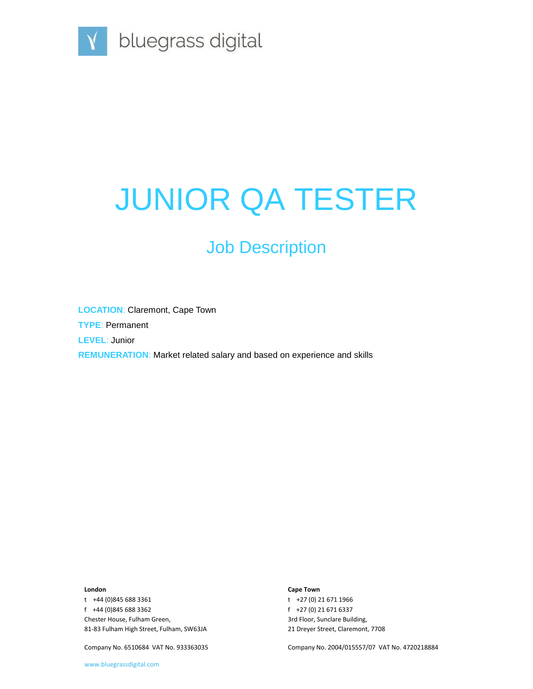

# JUNIOR QA TESTER

## Job Description

**LOCATION**: Claremont, Cape Town **TYPE**: Permanent **LEVEL**: Junior **REMUNERATION**: Market related salary and based on experience and skills

#### **London**

t +44 (0)845 688 3361 f +44 (0)845 688 3362 Chester House, Fulham Green, 81-83 Fulham High Street, Fulham, SW63JA

Company No. 6510684 VAT No. 933363035

t +27 (0) 21 671 1966 f +27 (0) 21 671 6337 3rd Floor, Sunclare Building, 21 Dreyer Street, Claremont, 7708

Company No. 2004/015557/07 VAT No. 4720218884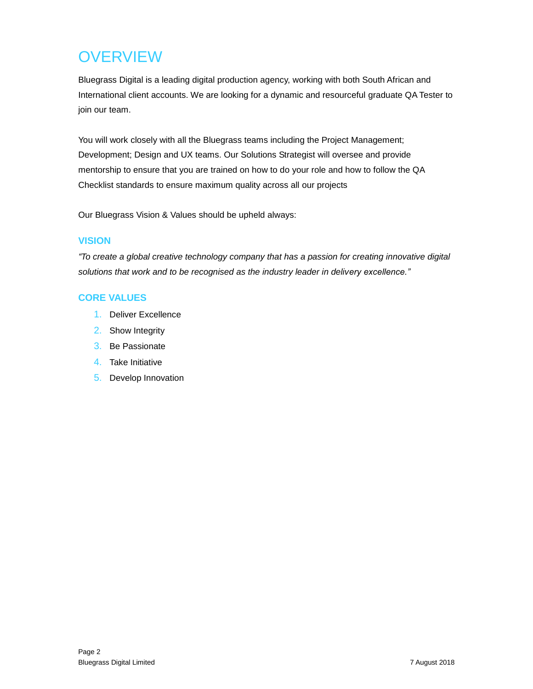# **OVERVIEW**

Bluegrass Digital is a leading digital production agency, working with both South African and International client accounts. We are looking for a dynamic and resourceful graduate QA Tester to join our team.

You will work closely with all the Bluegrass teams including the Project Management; Development; Design and UX teams. Our Solutions Strategist will oversee and provide mentorship to ensure that you are trained on how to do your role and how to follow the QA Checklist standards to ensure maximum quality across all our projects

Our Bluegrass Vision & Values should be upheld always:

#### **VISION**

*"To create a global creative technology company that has a passion for creating innovative digital solutions that work and to be recognised as the industry leader in delivery excellence."*

#### **CORE VALUES**

- 1. Deliver Excellence
- 2. Show Integrity
- 3. Be Passionate
- 4. Take Initiative
- 5. Develop Innovation